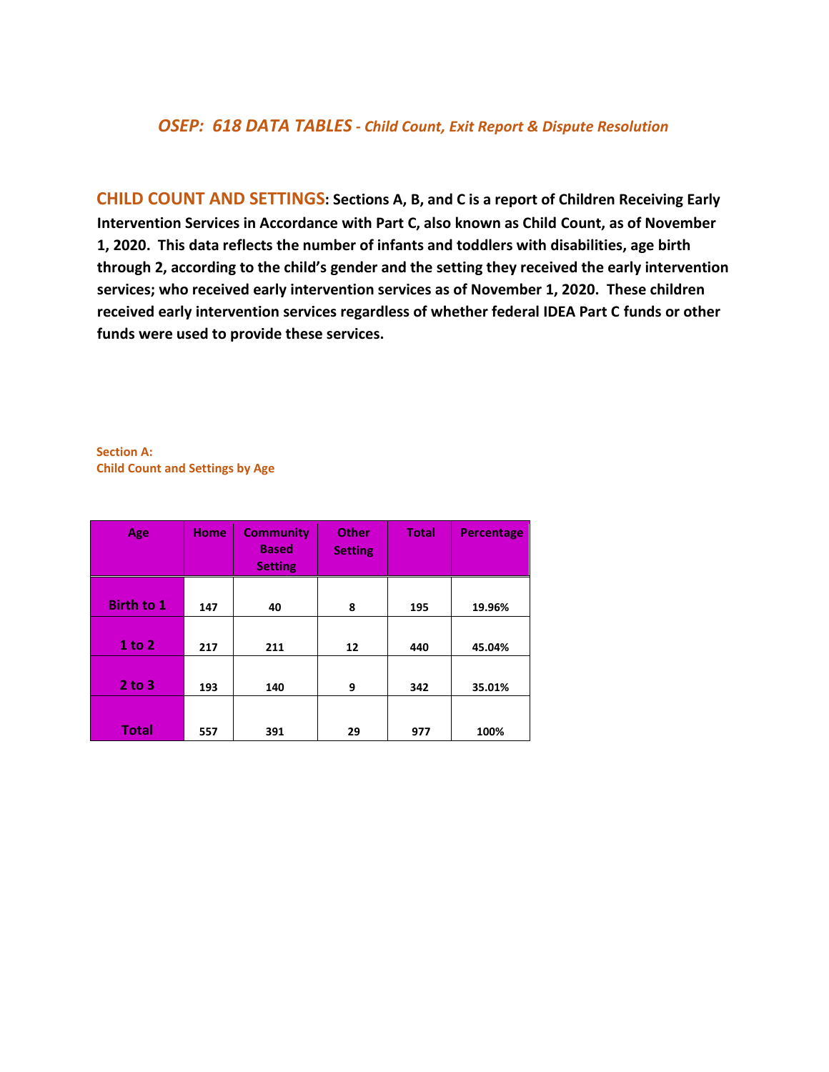### *OSEP: 618 DATA TABLES - Child Count, Exit Report & Dispute Resolution*

**CHILD COUNT AND SETTINGS: Sections A, B, and C is a report of Children Receiving Early Intervention Services in Accordance with Part C, also known as Child Count, as of November 1, 2020. This data reflects the number of infants and toddlers with disabilities, age birth through 2, according to the child's gender and the setting they received the early intervention services; who received early intervention services as of November 1, 2020. These children received early intervention services regardless of whether federal IDEA Part C funds or other funds were used to provide these services.** 

**Section A: Child Count and Settings by Age**

| Age               | <b>Home</b> | <b>Community</b><br><b>Based</b><br><b>Setting</b> | <b>Other</b><br><b>Setting</b> | <b>Total</b> | <b>Percentage</b> |
|-------------------|-------------|----------------------------------------------------|--------------------------------|--------------|-------------------|
|                   |             |                                                    |                                |              |                   |
| <b>Birth to 1</b> | 147         | 40                                                 | 8                              | 195          | 19.96%            |
|                   |             |                                                    |                                |              |                   |
| 1 to 2            | 217         | 211                                                | 12                             | 440          | 45.04%            |
|                   |             |                                                    |                                |              |                   |
| $2$ to $3$        | 193         | 140                                                | 9                              | 342          | 35.01%            |
|                   |             |                                                    |                                |              |                   |
| <b>Total</b>      | 557         | 391                                                | 29                             | 977          | 100%              |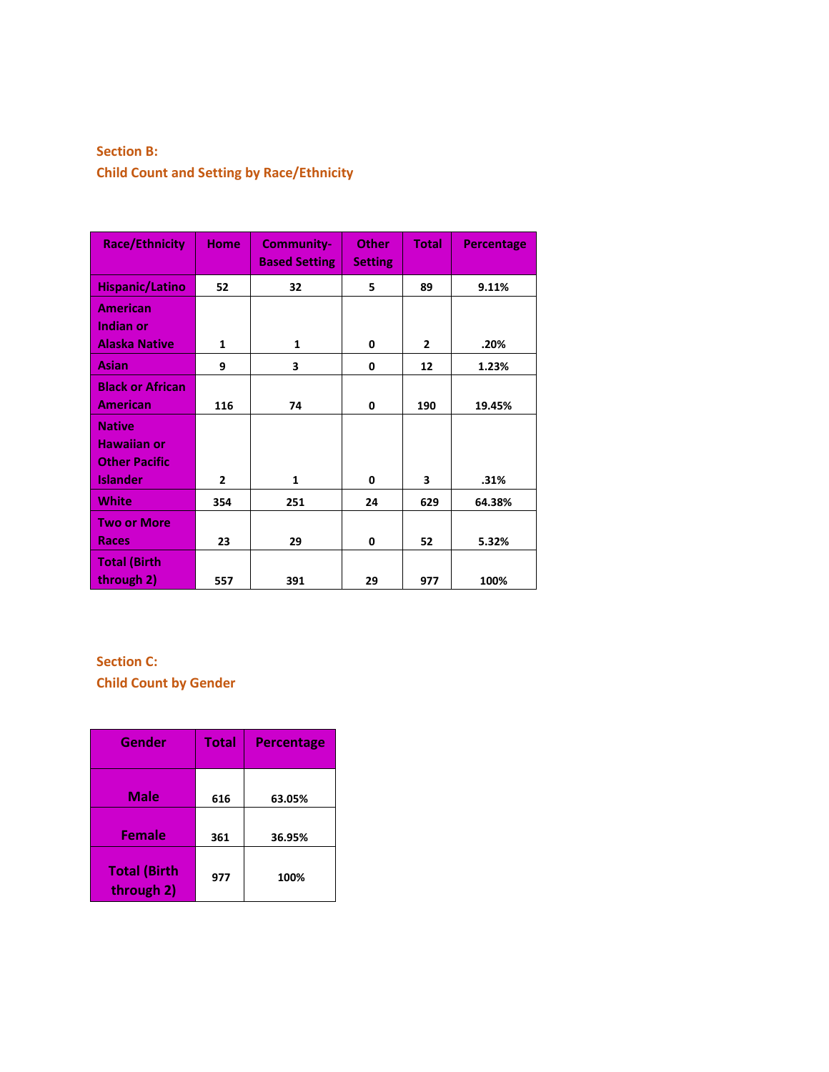## **Section B: Child Count and Setting by Race/Ethnicity**

| <b>Race/Ethnicity</b>   | <b>Home</b>    | <b>Community-</b><br><b>Based Setting</b> | <b>Other</b><br><b>Setting</b> | <b>Total</b>   | <b>Percentage</b> |
|-------------------------|----------------|-------------------------------------------|--------------------------------|----------------|-------------------|
| <b>Hispanic/Latino</b>  | 52             | 32                                        | 5                              | 89             | 9.11%             |
| <b>American</b>         |                |                                           |                                |                |                   |
| <b>Indian or</b>        |                |                                           |                                |                |                   |
| <b>Alaska Native</b>    | 1              | 1                                         | 0                              | $\overline{2}$ | .20%              |
| Asian                   | 9              | 3                                         | 0                              | 12             | 1.23%             |
| <b>Black or African</b> |                |                                           |                                |                |                   |
| <b>American</b>         | 116            | 74                                        | 0                              | 190            | 19.45%            |
| <b>Native</b>           |                |                                           |                                |                |                   |
| <b>Hawaiian or</b>      |                |                                           |                                |                |                   |
| <b>Other Pacific</b>    |                |                                           |                                |                |                   |
| <b>Islander</b>         | $\overline{2}$ | $\mathbf{1}$                              | 0                              | 3              | .31%              |
| <b>White</b>            | 354            | 251                                       | 24                             | 629            | 64.38%            |
| <b>Two or More</b>      |                |                                           |                                |                |                   |
| <b>Races</b>            | 23             | 29                                        | 0                              | 52             | 5.32%             |
| <b>Total (Birth</b>     |                |                                           |                                |                |                   |
| through 2)              | 557            | 391                                       | 29                             | 977            | 100%              |

## **Section C: Child Count by Gender**

| Gender                            | <b>Total</b> | <b>Percentage</b> |
|-----------------------------------|--------------|-------------------|
| Male                              | 616          | 63.05%            |
| <b>Female</b>                     | 361          | 36.95%            |
| <b>Total (Birth</b><br>through 2) | 977          | 100%              |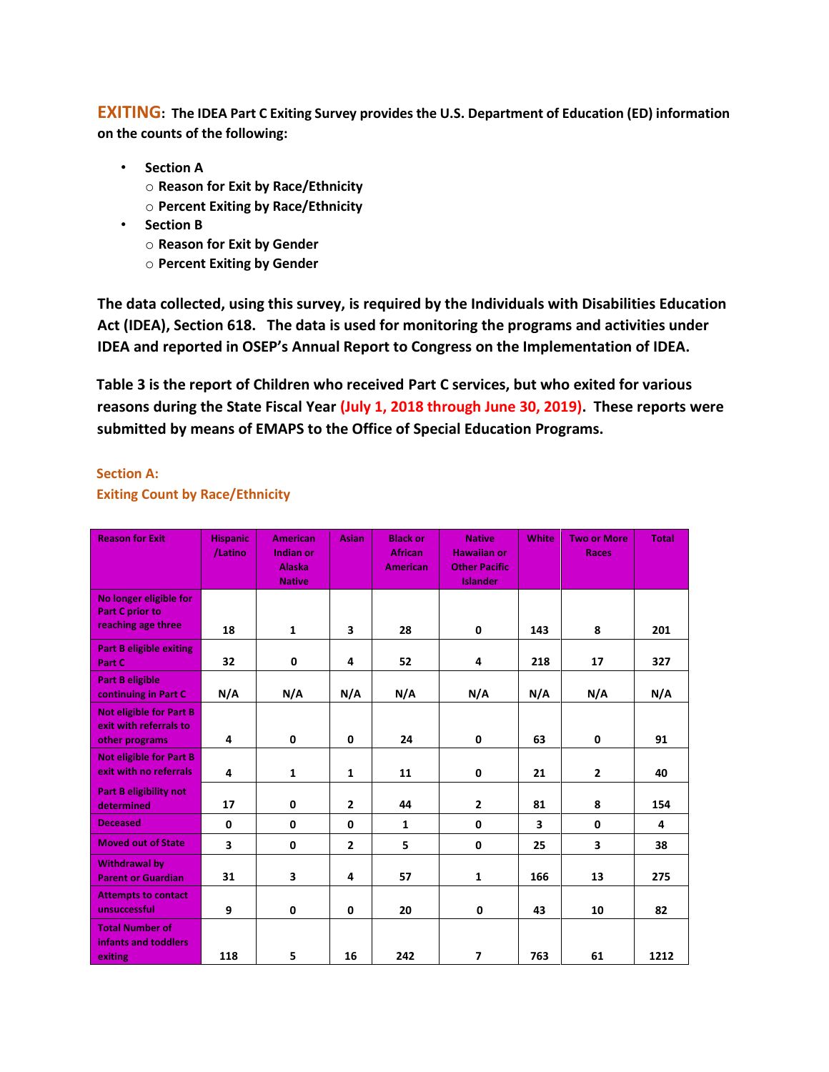**EXITING: The IDEA Part C Exiting Survey provides the U.S. Department of Education (ED) information on the counts of the following:** 

- **Section A** 
	- o **Reason for Exit by Race/Ethnicity**
	- o **Percent Exiting by Race/Ethnicity**
- **Section B** 
	- o **Reason for Exit by Gender**
	- o **Percent Exiting by Gender**

**The data collected, using this survey, is required by the Individuals with Disabilities Education Act (IDEA), Section 618. The data is used for monitoring the programs and activities under IDEA and reported in OSEP's Annual Report to Congress on the Implementation of IDEA.** 

**Table 3 is the report of Children who received Part C services, but who exited for various reasons during the State Fiscal Year (July 1, 2018 through June 30, 2019). These reports were submitted by means of EMAPS to the Office of Special Education Programs.**

### **Section A:**

### **Exiting Count by Race/Ethnicity**

| <b>Reason for Exit</b>                                                     | <b>Hispanic</b><br>/Latino | <b>American</b><br>Indian or<br><b>Alaska</b><br><b>Native</b> | <b>Asian</b>   | <b>Black or</b><br><b>African</b><br><b>American</b> | <b>Native</b><br><b>Hawaiian or</b><br><b>Other Pacific</b><br><b>Islander</b> | White | <b>Two or More</b><br><b>Races</b> | <b>Total</b> |
|----------------------------------------------------------------------------|----------------------------|----------------------------------------------------------------|----------------|------------------------------------------------------|--------------------------------------------------------------------------------|-------|------------------------------------|--------------|
| No longer eligible for<br><b>Part C prior to</b><br>reaching age three     | 18                         | $\mathbf{1}$                                                   | 3              | 28                                                   | $\mathbf 0$                                                                    | 143   | 8                                  | 201          |
| <b>Part B eligible exiting</b><br>Part C                                   | 32                         | $\mathbf 0$                                                    | 4              | 52                                                   | 4                                                                              | 218   | 17                                 | 327          |
| <b>Part B eligible</b><br>continuing in Part C                             | N/A                        | N/A                                                            | N/A            | N/A                                                  | N/A                                                                            | N/A   | N/A                                | N/A          |
| <b>Not eligible for Part B</b><br>exit with referrals to<br>other programs | 4                          | 0                                                              | $\mathbf 0$    | 24                                                   | 0                                                                              | 63    | 0                                  | 91           |
| <b>Not eligible for Part B</b><br>exit with no referrals                   | 4                          | $\mathbf{1}$                                                   | $\mathbf{1}$   | 11                                                   | $\mathbf 0$                                                                    | 21    | $\overline{2}$                     | 40           |
| <b>Part B eligibility not</b><br>determined                                | 17                         | 0                                                              | $\overline{2}$ | 44                                                   | $\overline{2}$                                                                 | 81    | 8                                  | 154          |
| <b>Deceased</b>                                                            | 0                          | 0                                                              | $\mathbf 0$    | $\mathbf{1}$                                         | 0                                                                              | 3     | 0                                  | 4            |
| <b>Moved out of State</b>                                                  | $\overline{\mathbf{3}}$    | $\mathbf 0$                                                    | $\overline{2}$ | 5                                                    | $\mathbf 0$                                                                    | 25    | 3                                  | 38           |
| <b>Withdrawal by</b><br><b>Parent or Guardian</b>                          | 31                         | 3                                                              | 4              | 57                                                   | $\mathbf{1}$                                                                   | 166   | 13                                 | 275          |
| <b>Attempts to contact</b><br>unsuccessful                                 | 9                          | $\mathbf 0$                                                    | $\mathbf 0$    | 20                                                   | 0                                                                              | 43    | 10                                 | 82           |
| <b>Total Number of</b><br>infants and toddlers<br>exiting                  | 118                        | 5                                                              | 16             | 242                                                  | $\overline{\phantom{a}}$                                                       | 763   | 61                                 | 1212         |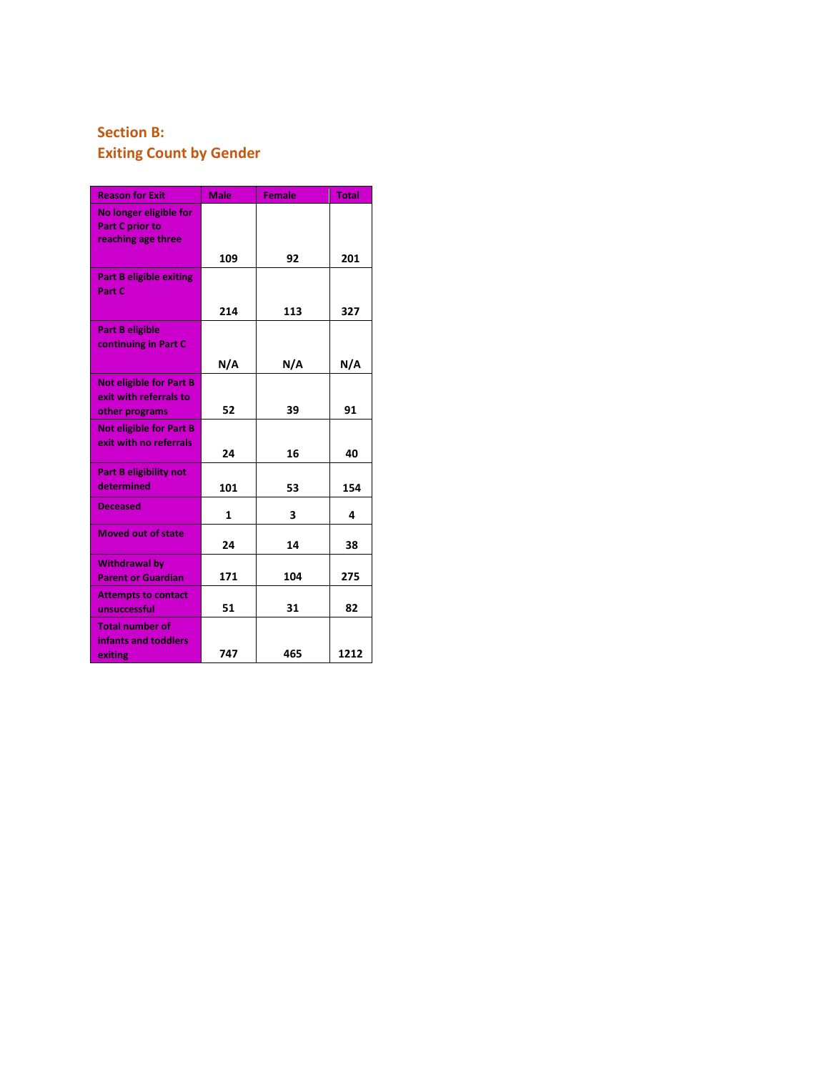# **Section B: Exiting Count by Gender**

| <b>Reason for Exit</b>                                                     | <b>Male</b> | <b>Female</b> | <b>Total</b> |
|----------------------------------------------------------------------------|-------------|---------------|--------------|
| No longer eligible for<br><b>Part C prior to</b><br>reaching age three     |             |               |              |
|                                                                            | 109         | 92            | 201          |
| <b>Part B eligible exiting</b><br>Part C                                   |             |               |              |
|                                                                            | 214         | 113           | 327          |
| <b>Part B eligible</b><br>continuing in Part C                             |             |               |              |
|                                                                            | N/A         | N/A           | N/A          |
| <b>Not eligible for Part B</b><br>exit with referrals to<br>other programs | 52          | 39            | 91           |
| <b>Not eligible for Part B</b>                                             |             |               |              |
| exit with no referrals                                                     | 24          | 16            | 40           |
| <b>Part B eligibility not</b><br>determined                                | 101         | 53            | 154          |
| <b>Deceased</b>                                                            | 1           | 3             | 4            |
| <b>Moved out of state</b>                                                  | 24          | 14            | 38           |
| <b>Withdrawal by</b><br><b>Parent or Guardian</b>                          | 171         | 104           | 275          |
| <b>Attempts to contact</b><br>unsuccessful                                 | 51          | 31            | 82           |
| <b>Total number of</b><br>infants and toddlers<br>exiting                  | 747         | 465           | 1212         |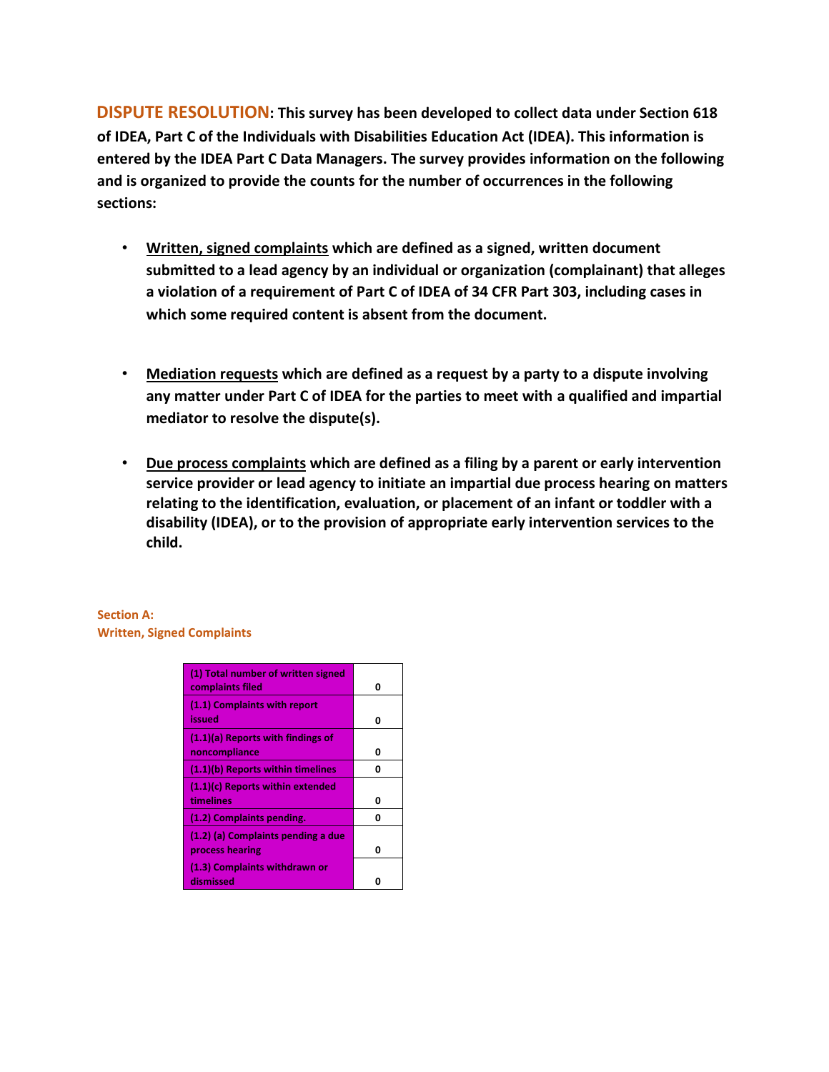**DISPUTE RESOLUTION: This survey has been developed to collect data under Section 618 of IDEA, Part C of the Individuals with Disabilities Education Act (IDEA). This information is entered by the IDEA Part C Data Managers. The survey provides information on the following and is organized to provide the counts for the number of occurrences in the following sections:** 

- **Written, signed complaints which are defined as a signed, written document submitted to a lead agency by an individual or organization (complainant) that alleges a violation of a requirement of Part C of IDEA of 34 CFR Part 303, including cases in which some required content is absent from the document.**
- **Mediation requests which are defined as a request by a party to a dispute involving any matter under Part C of IDEA for the parties to meet with a qualified and impartial mediator to resolve the dispute(s).**
- **Due process complaints which are defined as a filing by a parent or early intervention service provider or lead agency to initiate an impartial due process hearing on matters relating to the identification, evaluation, or placement of an infant or toddler with a disability (IDEA), or to the provision of appropriate early intervention services to the child.**

### **Section A: Written, Signed Complaints**

| (1) Total number of written signed<br>complaints filed | Ω |
|--------------------------------------------------------|---|
| (1.1) Complaints with report<br>issued                 | ŋ |
| (1.1)(a) Reports with findings of<br>noncompliance     | n |
| (1.1)(b) Reports within timelines                      |   |
| (1.1)(c) Reports within extended<br>timelines          | ŋ |
| (1.2) Complaints pending.                              |   |
| (1.2) (a) Complaints pending a due<br>process hearing  |   |
| (1.3) Complaints withdrawn or<br>dismissed             |   |